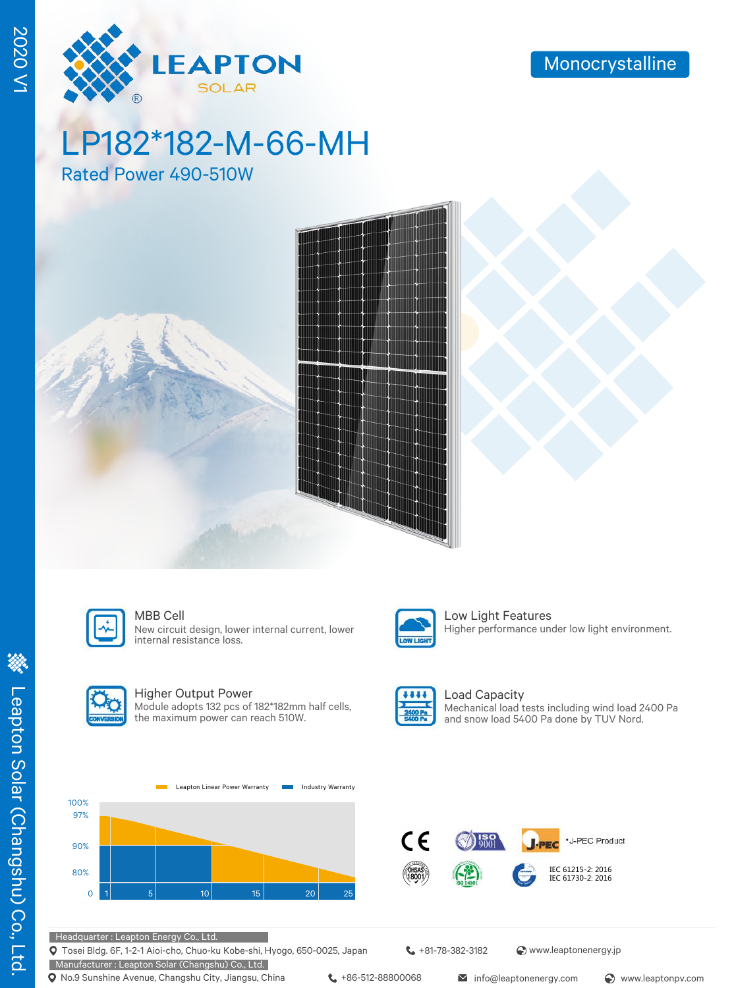

# LP182\*182-M-66-MH

Rated Power 490-510W





### MBB Cell **Low Light Features**

New circuit design, lower internal current, lower internal resistance loss.



### Higher Output Power

Module adopts 132 pcs of 182\*182mm half cells, the maximum power can reach 510W.



LOW LIGHT

### Load Capacity Mechanical load tests including wind load 2400 Pa and snow load 5400 Pa done by TUV Nord.

Higher performance under low light environment.





Headquarter : Leapton Energy Co., Ltd.

Tosei Bldg. 6F, 1-2-1 Aioi-cho, Chuo-ku Kobe-shi, Hyogo, 650-0025, Japan

Manufacturer : Leapton Solar (Changshu) Co., Ltd. **Q** No.9 Sunshine Avenue, Changshu City, Jiangsu, China  $\leftarrow$  +86-512-88800068 info@leaptonenergy.com  $\odot$  www.leaptonpv.com

+81-78-382-3182 www.leaptonenergy.jp

2020 V1